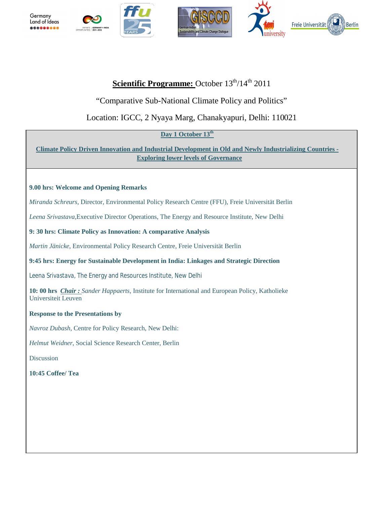

# **Scientific Programme:** October  $13^{\text{th}} / 14^{\text{th}}$  2011

"Comparative Sub-National Climate Policy and Politics"

## Location: IGCC, 2 Nyaya Marg, Chanakyapuri, Delhi: 110021

## Day 1 October 13<sup>th</sup>

**Climate Policy Driven Innovation and Industrial Development in Old and Newly Industrializing Countries - Exploring lower levels of Governance**

## **9.00 hrs: Welcome and Opening Remarks**

*Miranda Schreurs,* Director, Environmental Policy Research Centre (FFU), Freie Universität Berlin

*Leena Srivastava,*Executive Director Operations, The Energy and Resource Institute, New Delhi

## **9: 30 hrs: Climate Policy as Innovation: A comparative Analysis**

*Martin Jänicke*, Environmental Policy Research Centre, Freie Universität Berlin

## **9:45 hrs: Energy for Sustainable Development in India: Linkages and Strategic Direction**

*Leena Srivastava*, The Energy and Resources Institute, New Delhi

**10: 00 hrs** *Chair : Sander Happaerts*, Institute for International and European Policy, Katholieke Universiteit Leuven

## **Response to the Presentations by**

*Navroz Dubash,* Centre for Policy Research, New Delhi:

*Helmut Weidner*, Social Science Research Center, Berlin

Discussion

**10:45 Coffee/ Tea**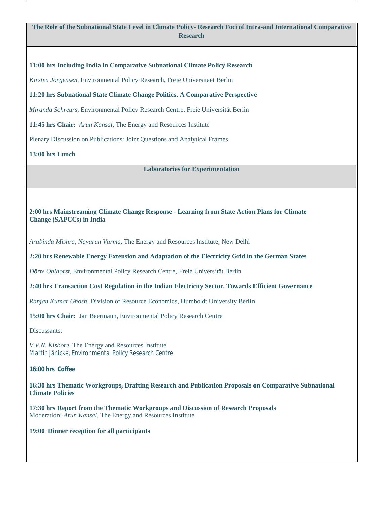**The Role of the Subnational State Level in Climate Policy- Research Foci of Intra-and International Comparative Research**

**11:00 hrs Including India in Comparative Subnational Climate Policy Research**

*Kirsten Jörgensen*, Environmental Policy Research, Freie Universitaet Berlin

#### **11:20 hrs Subnational State Climate Change Politics. A Comparative Perspective**

*Miranda Schreurs*, Environmental Policy Research Centre, Freie Universität Berlin

**11:45 hrs Chair:** *Arun Kansal*, The Energy and Resources Institute

Plenary Discussion on Publications: Joint Questions and Analytical Frames

**13:00 hrs Lunch**

**Laboratories for Experimentation**

**2:00 hrs Mainstreaming Climate Change Response - Learning from State Action Plans for Climate Change (SAPCCs) in India**

*Arabinda Mishra, Navarun Varma*, The Energy and Resources Institute, New Delhi

**2:20 hrs Renewable Energy Extension and Adaptation of the Electricity Grid in the German States**

*Dörte Ohlhorst*, Environmental Policy Research Centre, Freie Universität Berlin

**2:40 hrs Transaction Cost Regulation in the Indian Electricity Sector. Towards Efficient Governance**

*Ranjan Kumar Ghosh*, Division of Resource Economics, Humboldt University Berlin

**15:00 hrs Chair:** Jan Beermann, Environmental Policy Research Centre

Discussants:

*V.V.N. Kishore*, The Energy and Resources Institute *Martin Jänicke*, Environmental Policy Research Centre

**16:00 hrs Coffee**

**16:30 hrs Thematic Workgroups, Drafting Research and Publication Proposals on Comparative Subnational Climate Policies**

**17:30 hrs Report from the Thematic Workgroups and Discussion of Research Proposals** Moderation: *Arun Kansal*, The Energy and Resources Institute

**19:00 Dinner reception for all participants**